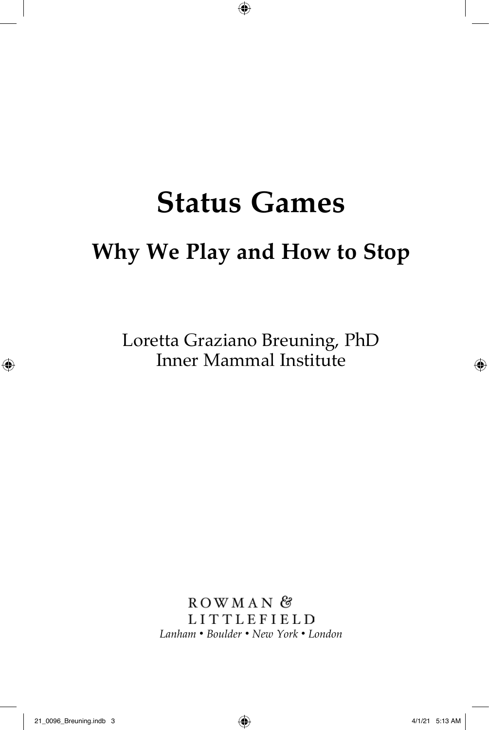# **Status Games Why We Play and How to Stop**

 $\bigoplus$ 

Loretta Graziano Breuning, PhD Inner Mammal Institute

> ROWMAN<sup>&</sup> **LITTLEFIELD** *Lanham • Boulder • New York • London*

21\_0096\_Breuning.indb 3 4/1/21 5:13 AM

 $\bigoplus$ 

 $\bigoplus$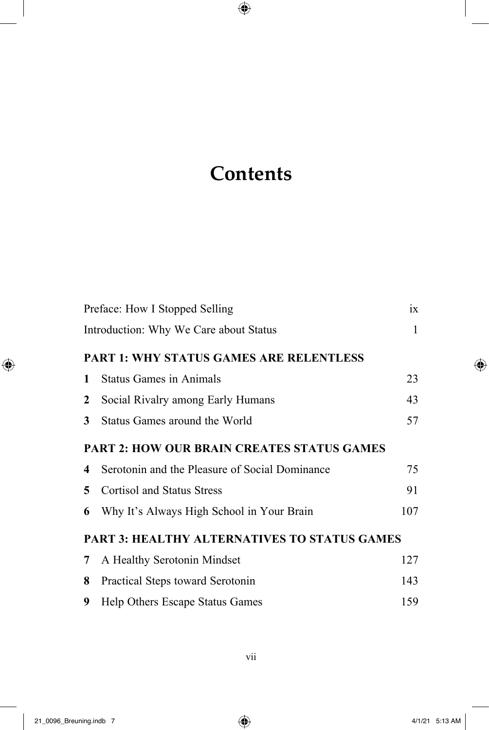# **Contents**

 $\bigoplus$ 

| Preface: How I Stopped Selling                      |                                                | ix  |
|-----------------------------------------------------|------------------------------------------------|-----|
| Introduction: Why We Care about Status              |                                                | 1   |
| <b>PART 1: WHY STATUS GAMES ARE RELENTLESS</b>      |                                                |     |
| 1                                                   | <b>Status Games in Animals</b>                 | 23  |
| 2                                                   | Social Rivalry among Early Humans              | 43  |
| 3                                                   | Status Games around the World                  | 57  |
| <b>PART 2: HOW OUR BRAIN CREATES STATUS GAMES</b>   |                                                |     |
| 4                                                   | Serotonin and the Pleasure of Social Dominance | 75  |
| 5                                                   | Cortisol and Status Stress                     | 91  |
| 6                                                   | Why It's Always High School in Your Brain      | 107 |
| <b>PART 3: HEALTHY ALTERNATIVES TO STATUS GAMES</b> |                                                |     |
| 7                                                   | A Healthy Serotonin Mindset                    | 127 |
| 8                                                   | Practical Steps toward Serotonin               | 143 |
| 9                                                   | Help Others Escape Status Games                | 159 |

I

 $\bigoplus$ 

 $\bigoplus$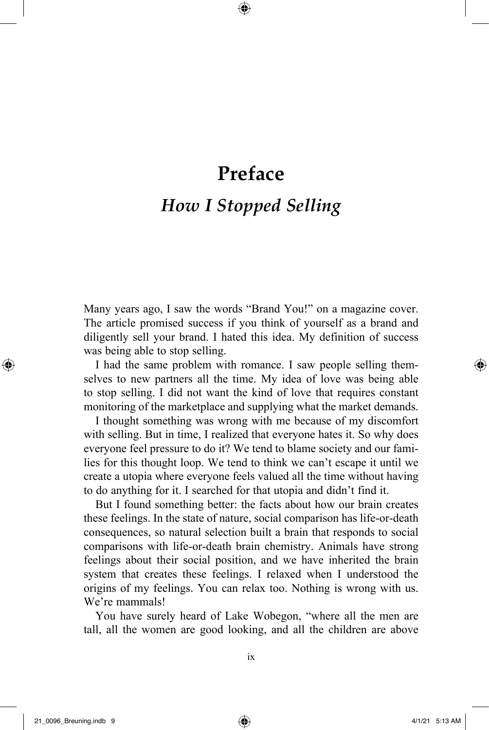# **Preface**

⊕

### *How I Stopped Selling*

Many years ago, I saw the words "Brand You!" on a magazine cover. The article promised success if you think of yourself as a brand and diligently sell your brand. I hated this idea. My definition of success was being able to stop selling.

I had the same problem with romance. I saw people selling themselves to new partners all the time. My idea of love was being able to stop selling. I did not want the kind of love that requires constant monitoring of the marketplace and supplying what the market demands.

I thought something was wrong with me because of my discomfort with selling. But in time, I realized that everyone hates it. So why does everyone feel pressure to do it? We tend to blame society and our families for this thought loop. We tend to think we can't escape it until we create a utopia where everyone feels valued all the time without having to do anything for it. I searched for that utopia and didn't find it.

But I found something better: the facts about how our brain creates these feelings. In the state of nature, social comparison has life-or-death consequences, so natural selection built a brain that responds to social comparisons with life-or-death brain chemistry. Animals have strong feelings about their social position, and we have inherited the brain system that creates these feelings. I relaxed when I understood the origins of my feelings. You can relax too. Nothing is wrong with us. We're mammals!

You have surely heard of Lake Wobegon, "where all the men are tall, all the women are good looking, and all the children are above

⊕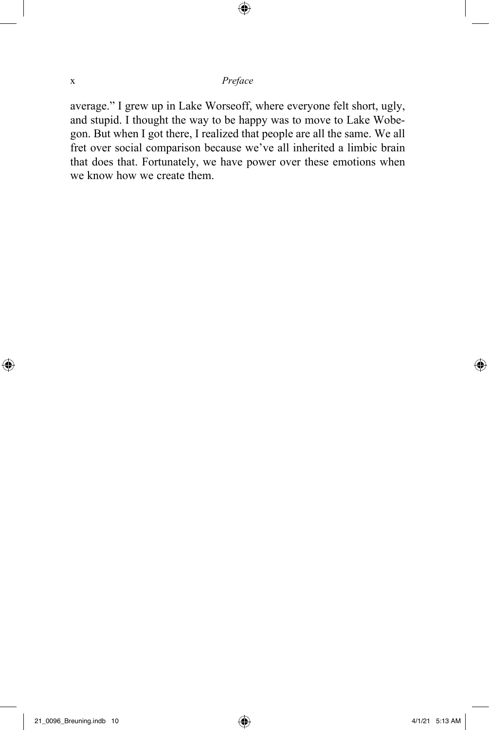#### x *Preface*

 $\bigoplus$ 

average." I grew up in Lake Worseoff, where everyone felt short, ugly, and stupid. I thought the way to be happy was to move to Lake Wobegon. But when I got there, I realized that people are all the same. We all fret over social comparison because we've all inherited a limbic brain that does that. Fortunately, we have power over these emotions when we know how we create them.

⊕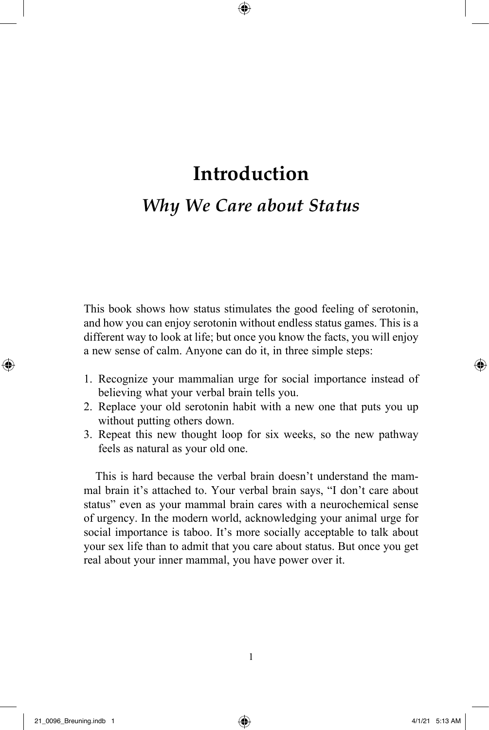⊕

### *Why We Care about Status*

This book shows how status stimulates the good feeling of serotonin, and how you can enjoy serotonin without endless status games. This is a different way to look at life; but once you know the facts, you will enjoy a new sense of calm. Anyone can do it, in three simple steps:

- 1. Recognize your mammalian urge for social importance instead of believing what your verbal brain tells you.
- 2. Replace your old serotonin habit with a new one that puts you up without putting others down.
- 3. Repeat this new thought loop for six weeks, so the new pathway feels as natural as your old one.

This is hard because the verbal brain doesn't understand the mammal brain it's attached to. Your verbal brain says, "I don't care about status" even as your mammal brain cares with a neurochemical sense of urgency. In the modern world, acknowledging your animal urge for social importance is taboo. It's more socially acceptable to talk about your sex life than to admit that you care about status. But once you get real about your inner mammal, you have power over it.

⊕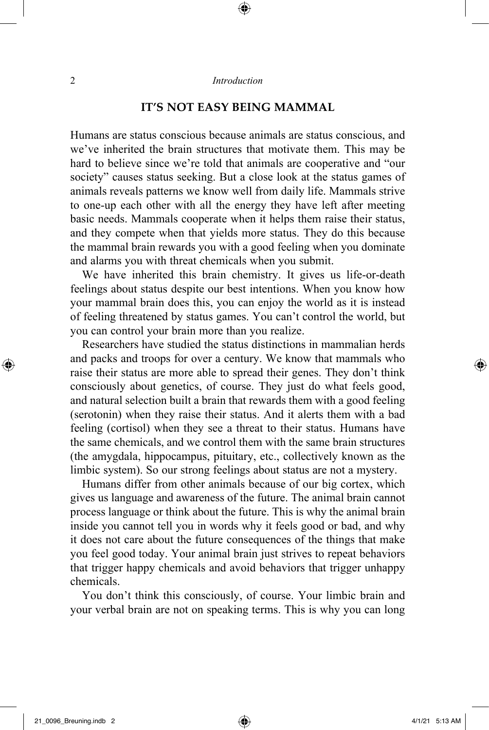⊕

#### **IT'S NOT EASY BEING MAMMAL**

Humans are status conscious because animals are status conscious, and we've inherited the brain structures that motivate them. This may be hard to believe since we're told that animals are cooperative and "our society" causes status seeking. But a close look at the status games of animals reveals patterns we know well from daily life. Mammals strive to one-up each other with all the energy they have left after meeting basic needs. Mammals cooperate when it helps them raise their status, and they compete when that yields more status. They do this because the mammal brain rewards you with a good feeling when you dominate and alarms you with threat chemicals when you submit.

We have inherited this brain chemistry. It gives us life-or-death feelings about status despite our best intentions. When you know how your mammal brain does this, you can enjoy the world as it is instead of feeling threatened by status games. You can't control the world, but you can control your brain more than you realize.

Researchers have studied the status distinctions in mammalian herds and packs and troops for over a century. We know that mammals who raise their status are more able to spread their genes. They don't think consciously about genetics, of course. They just do what feels good, and natural selection built a brain that rewards them with a good feeling (serotonin) when they raise their status. And it alerts them with a bad feeling (cortisol) when they see a threat to their status. Humans have the same chemicals, and we control them with the same brain structures (the amygdala, hippocampus, pituitary, etc., collectively known as the limbic system). So our strong feelings about status are not a mystery.

Humans differ from other animals because of our big cortex, which gives us language and awareness of the future. The animal brain cannot process language or think about the future. This is why the animal brain inside you cannot tell you in words why it feels good or bad, and why it does not care about the future consequences of the things that make you feel good today. Your animal brain just strives to repeat behaviors that trigger happy chemicals and avoid behaviors that trigger unhappy chemicals.

You don't think this consciously, of course. Your limbic brain and your verbal brain are not on speaking terms. This is why you can long

⊕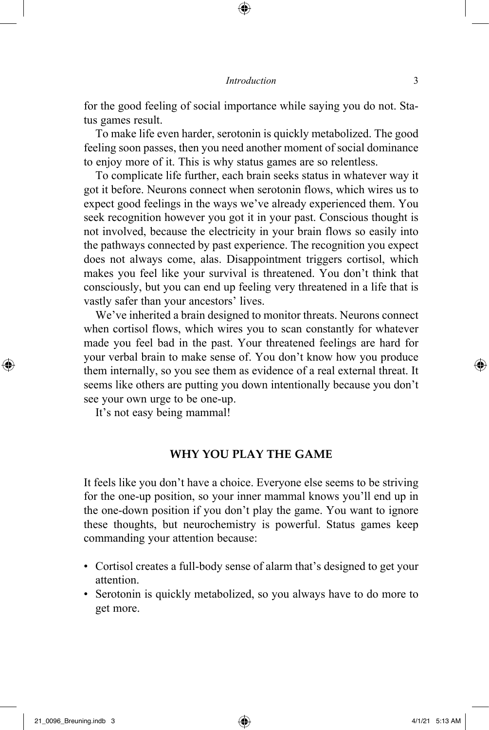⊕

To make life even harder, serotonin is quickly metabolized. The good feeling soon passes, then you need another moment of social dominance to enjoy more of it. This is why status games are so relentless.

To complicate life further, each brain seeks status in whatever way it got it before. Neurons connect when serotonin flows, which wires us to expect good feelings in the ways we've already experienced them. You seek recognition however you got it in your past. Conscious thought is not involved, because the electricity in your brain flows so easily into the pathways connected by past experience. The recognition you expect does not always come, alas. Disappointment triggers cortisol, which makes you feel like your survival is threatened. You don't think that consciously, but you can end up feeling very threatened in a life that is vastly safer than your ancestors' lives.

We've inherited a brain designed to monitor threats. Neurons connect when cortisol flows, which wires you to scan constantly for whatever made you feel bad in the past. Your threatened feelings are hard for your verbal brain to make sense of. You don't know how you produce them internally, so you see them as evidence of a real external threat. It seems like others are putting you down intentionally because you don't see your own urge to be one-up.

It's not easy being mammal!

#### **WHY YOU PLAY THE GAME**

It feels like you don't have a choice. Everyone else seems to be striving for the one-up position, so your inner mammal knows you'll end up in the one-down position if you don't play the game. You want to ignore these thoughts, but neurochemistry is powerful. Status games keep commanding your attention because:

- Cortisol creates a full-body sense of alarm that's designed to get your attention.
- Serotonin is quickly metabolized, so you always have to do more to get more.

⊕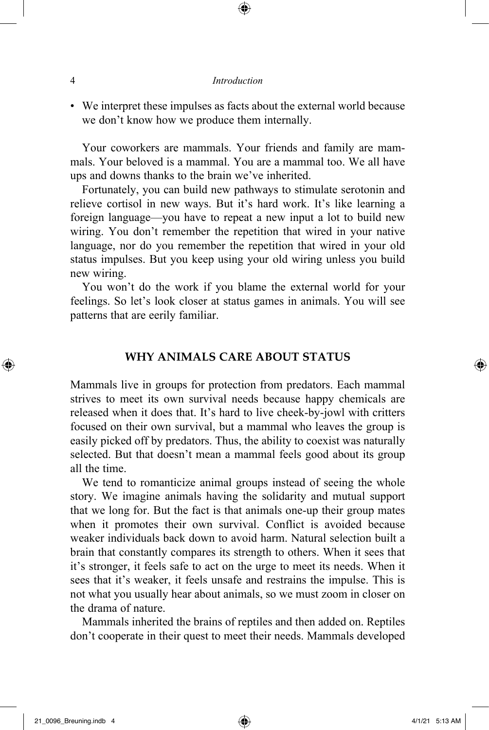⊕

• We interpret these impulses as facts about the external world because we don't know how we produce them internally.

Your coworkers are mammals. Your friends and family are mammals. Your beloved is a mammal. You are a mammal too. We all have ups and downs thanks to the brain we've inherited.

Fortunately, you can build new pathways to stimulate serotonin and relieve cortisol in new ways. But it's hard work. It's like learning a foreign language—you have to repeat a new input a lot to build new wiring. You don't remember the repetition that wired in your native language, nor do you remember the repetition that wired in your old status impulses. But you keep using your old wiring unless you build new wiring.

You won't do the work if you blame the external world for your feelings. So let's look closer at status games in animals. You will see patterns that are eerily familiar.

#### **WHY ANIMALS CARE ABOUT STATUS**

Mammals live in groups for protection from predators. Each mammal strives to meet its own survival needs because happy chemicals are released when it does that. It's hard to live cheek-by-jowl with critters focused on their own survival, but a mammal who leaves the group is easily picked off by predators. Thus, the ability to coexist was naturally selected. But that doesn't mean a mammal feels good about its group all the time.

We tend to romanticize animal groups instead of seeing the whole story. We imagine animals having the solidarity and mutual support that we long for. But the fact is that animals one-up their group mates when it promotes their own survival. Conflict is avoided because weaker individuals back down to avoid harm. Natural selection built a brain that constantly compares its strength to others. When it sees that it's stronger, it feels safe to act on the urge to meet its needs. When it sees that it's weaker, it feels unsafe and restrains the impulse. This is not what you usually hear about animals, so we must zoom in closer on the drama of nature.

Mammals inherited the brains of reptiles and then added on. Reptiles don't cooperate in their quest to meet their needs. Mammals developed

⊕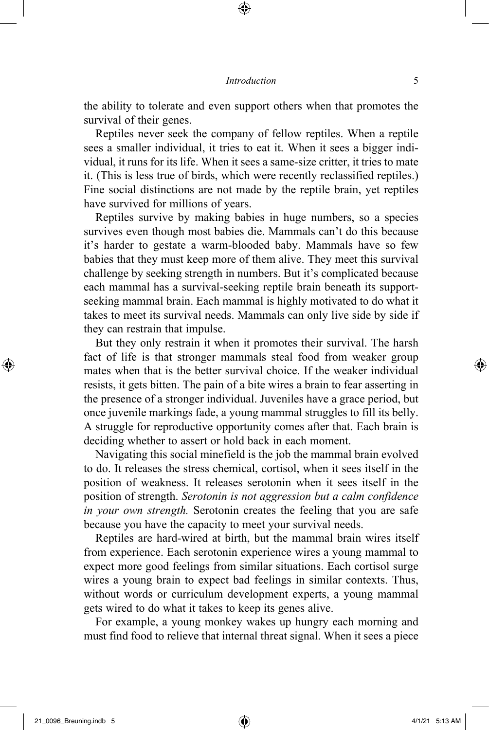⊕

survival of their genes.

Reptiles never seek the company of fellow reptiles. When a reptile sees a smaller individual, it tries to eat it. When it sees a bigger individual, it runs for its life. When it sees a same-size critter, it tries to mate it. (This is less true of birds, which were recently reclassified reptiles.) Fine social distinctions are not made by the reptile brain, yet reptiles have survived for millions of years.

Reptiles survive by making babies in huge numbers, so a species survives even though most babies die. Mammals can't do this because it's harder to gestate a warm-blooded baby. Mammals have so few babies that they must keep more of them alive. They meet this survival challenge by seeking strength in numbers. But it's complicated because each mammal has a survival-seeking reptile brain beneath its supportseeking mammal brain. Each mammal is highly motivated to do what it takes to meet its survival needs. Mammals can only live side by side if they can restrain that impulse.

But they only restrain it when it promotes their survival. The harsh fact of life is that stronger mammals steal food from weaker group mates when that is the better survival choice. If the weaker individual resists, it gets bitten. The pain of a bite wires a brain to fear asserting in the presence of a stronger individual. Juveniles have a grace period, but once juvenile markings fade, a young mammal struggles to fill its belly. A struggle for reproductive opportunity comes after that. Each brain is deciding whether to assert or hold back in each moment.

Navigating this social minefield is the job the mammal brain evolved to do. It releases the stress chemical, cortisol, when it sees itself in the position of weakness. It releases serotonin when it sees itself in the position of strength. *Serotonin is not aggression but a calm confidence in your own strength.* Serotonin creates the feeling that you are safe because you have the capacity to meet your survival needs.

Reptiles are hard-wired at birth, but the mammal brain wires itself from experience. Each serotonin experience wires a young mammal to expect more good feelings from similar situations. Each cortisol surge wires a young brain to expect bad feelings in similar contexts. Thus, without words or curriculum development experts, a young mammal gets wired to do what it takes to keep its genes alive.

For example, a young monkey wakes up hungry each morning and must find food to relieve that internal threat signal. When it sees a piece

⊕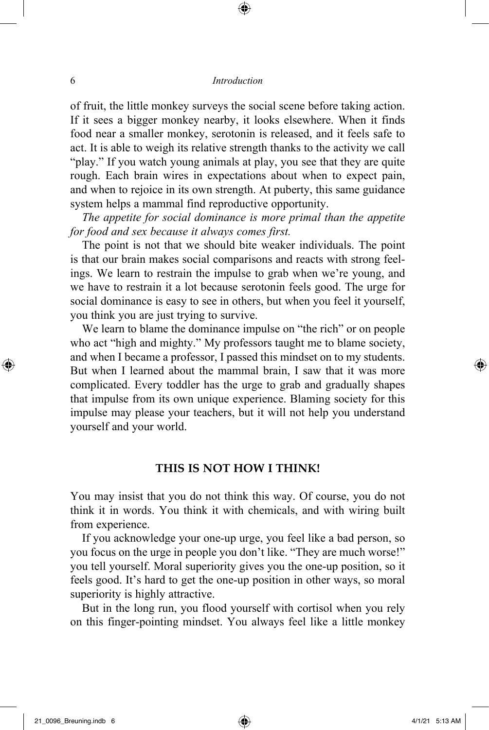⊕

of fruit, the little monkey surveys the social scene before taking action. If it sees a bigger monkey nearby, it looks elsewhere. When it finds food near a smaller monkey, serotonin is released, and it feels safe to act. It is able to weigh its relative strength thanks to the activity we call "play." If you watch young animals at play, you see that they are quite rough. Each brain wires in expectations about when to expect pain, and when to rejoice in its own strength. At puberty, this same guidance system helps a mammal find reproductive opportunity.

*The appetite for social dominance is more primal than the appetite for food and sex because it always comes first.*

The point is not that we should bite weaker individuals. The point is that our brain makes social comparisons and reacts with strong feelings. We learn to restrain the impulse to grab when we're young, and we have to restrain it a lot because serotonin feels good. The urge for social dominance is easy to see in others, but when you feel it yourself, you think you are just trying to survive.

We learn to blame the dominance impulse on "the rich" or on people who act "high and mighty." My professors taught me to blame society, and when I became a professor, I passed this mindset on to my students. But when I learned about the mammal brain, I saw that it was more complicated. Every toddler has the urge to grab and gradually shapes that impulse from its own unique experience. Blaming society for this impulse may please your teachers, but it will not help you understand yourself and your world.

#### **THIS IS NOT HOW I THINK!**

You may insist that you do not think this way. Of course, you do not think it in words. You think it with chemicals, and with wiring built from experience.

If you acknowledge your one-up urge, you feel like a bad person, so you focus on the urge in people you don't like. "They are much worse!" you tell yourself. Moral superiority gives you the one-up position, so it feels good. It's hard to get the one-up position in other ways, so moral superiority is highly attractive.

But in the long run, you flood yourself with cortisol when you rely on this finger-pointing mindset. You always feel like a little monkey

⊕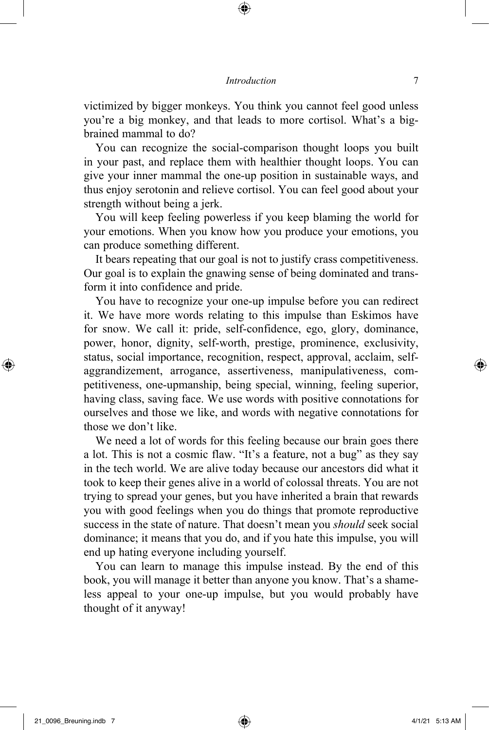⊕

victimized by bigger monkeys. You think you cannot feel good unless you're a big monkey, and that leads to more cortisol. What's a bigbrained mammal to do?

You can recognize the social-comparison thought loops you built in your past, and replace them with healthier thought loops. You can give your inner mammal the one-up position in sustainable ways, and thus enjoy serotonin and relieve cortisol. You can feel good about your strength without being a jerk.

You will keep feeling powerless if you keep blaming the world for your emotions. When you know how you produce your emotions, you can produce something different.

It bears repeating that our goal is not to justify crass competitiveness. Our goal is to explain the gnawing sense of being dominated and transform it into confidence and pride.

You have to recognize your one-up impulse before you can redirect it. We have more words relating to this impulse than Eskimos have for snow. We call it: pride, self-confidence, ego, glory, dominance, power, honor, dignity, self-worth, prestige, prominence, exclusivity, status, social importance, recognition, respect, approval, acclaim, selfaggrandizement, arrogance, assertiveness, manipulativeness, competitiveness, one-upmanship, being special, winning, feeling superior, having class, saving face. We use words with positive connotations for ourselves and those we like, and words with negative connotations for those we don't like.

We need a lot of words for this feeling because our brain goes there a lot. This is not a cosmic flaw. "It's a feature, not a bug" as they say in the tech world. We are alive today because our ancestors did what it took to keep their genes alive in a world of colossal threats. You are not trying to spread your genes, but you have inherited a brain that rewards you with good feelings when you do things that promote reproductive success in the state of nature. That doesn't mean you *should* seek social dominance; it means that you do, and if you hate this impulse, you will end up hating everyone including yourself.

You can learn to manage this impulse instead. By the end of this book, you will manage it better than anyone you know. That's a shameless appeal to your one-up impulse, but you would probably have thought of it anyway!

21\_0096\_Breuning.indb 7 4/1/21 5:13 AM

⊕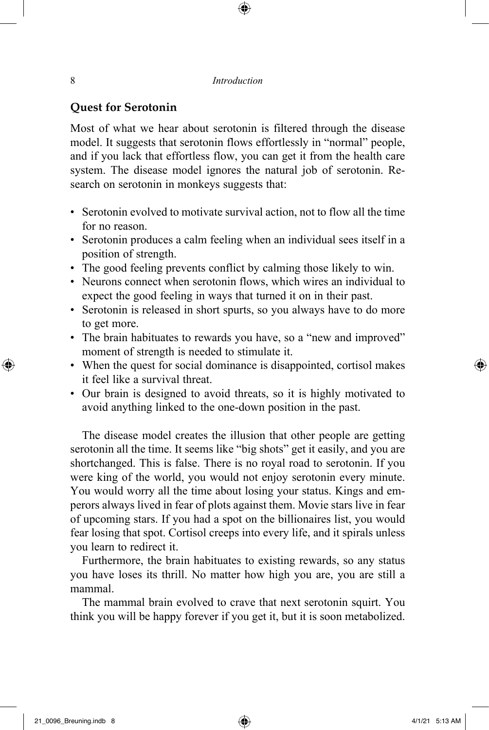⊕

#### **Quest for Serotonin**

Most of what we hear about serotonin is filtered through the disease model. It suggests that serotonin flows effortlessly in "normal" people, and if you lack that effortless flow, you can get it from the health care system. The disease model ignores the natural job of serotonin. Research on serotonin in monkeys suggests that:

- Serotonin evolved to motivate survival action, not to flow all the time for no reason.
- Serotonin produces a calm feeling when an individual sees itself in a position of strength.
- The good feeling prevents conflict by calming those likely to win.
- Neurons connect when serotonin flows, which wires an individual to expect the good feeling in ways that turned it on in their past.
- Serotonin is released in short spurts, so you always have to do more to get more.
- The brain habituates to rewards you have, so a "new and improved" moment of strength is needed to stimulate it.
- When the quest for social dominance is disappointed, cortisol makes it feel like a survival threat.
- Our brain is designed to avoid threats, so it is highly motivated to avoid anything linked to the one-down position in the past.

The disease model creates the illusion that other people are getting serotonin all the time. It seems like "big shots" get it easily, and you are shortchanged. This is false. There is no royal road to serotonin. If you were king of the world, you would not enjoy serotonin every minute. You would worry all the time about losing your status. Kings and emperors always lived in fear of plots against them. Movie stars live in fear of upcoming stars. If you had a spot on the billionaires list, you would fear losing that spot. Cortisol creeps into every life, and it spirals unless you learn to redirect it.

Furthermore, the brain habituates to existing rewards, so any status you have loses its thrill. No matter how high you are, you are still a mammal.

The mammal brain evolved to crave that next serotonin squirt. You think you will be happy forever if you get it, but it is soon metabolized.

⊕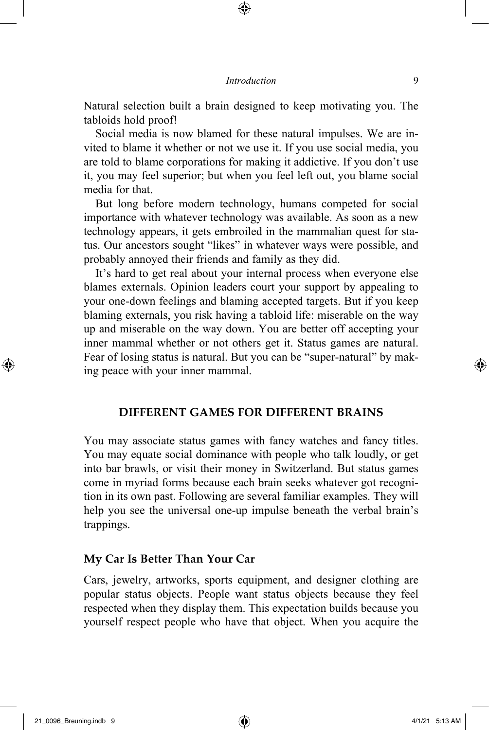⊕

Natural selection built a brain designed to keep motivating you. The tabloids hold proof!

Social media is now blamed for these natural impulses. We are invited to blame it whether or not we use it. If you use social media, you are told to blame corporations for making it addictive. If you don't use it, you may feel superior; but when you feel left out, you blame social media for that.

But long before modern technology, humans competed for social importance with whatever technology was available. As soon as a new technology appears, it gets embroiled in the mammalian quest for status. Our ancestors sought "likes" in whatever ways were possible, and probably annoyed their friends and family as they did.

It's hard to get real about your internal process when everyone else blames externals. Opinion leaders court your support by appealing to your one-down feelings and blaming accepted targets. But if you keep blaming externals, you risk having a tabloid life: miserable on the way up and miserable on the way down. You are better off accepting your inner mammal whether or not others get it. Status games are natural. Fear of losing status is natural. But you can be "super-natural" by making peace with your inner mammal.

#### **DIFFERENT GAMES FOR DIFFERENT BRAINS**

You may associate status games with fancy watches and fancy titles. You may equate social dominance with people who talk loudly, or get into bar brawls, or visit their money in Switzerland. But status games come in myriad forms because each brain seeks whatever got recognition in its own past. Following are several familiar examples. They will help you see the universal one-up impulse beneath the verbal brain's trappings.

#### **My Car Is Better Than Your Car**

Cars, jewelry, artworks, sports equipment, and designer clothing are popular status objects. People want status objects because they feel respected when they display them. This expectation builds because you yourself respect people who have that object. When you acquire the

⊕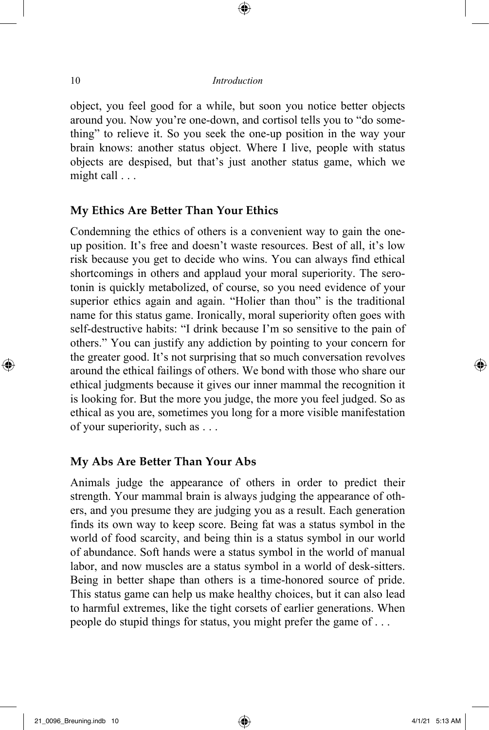⊕

object, you feel good for a while, but soon you notice better objects around you. Now you're one-down, and cortisol tells you to "do something" to relieve it. So you seek the one-up position in the way your brain knows: another status object. Where I live, people with status objects are despised, but that's just another status game, which we might call . . .

#### **My Ethics Are Better Than Your Ethics**

Condemning the ethics of others is a convenient way to gain the oneup position. It's free and doesn't waste resources. Best of all, it's low risk because you get to decide who wins. You can always find ethical shortcomings in others and applaud your moral superiority. The serotonin is quickly metabolized, of course, so you need evidence of your superior ethics again and again. "Holier than thou" is the traditional name for this status game. Ironically, moral superiority often goes with self-destructive habits: "I drink because I'm so sensitive to the pain of others." You can justify any addiction by pointing to your concern for the greater good. It's not surprising that so much conversation revolves around the ethical failings of others. We bond with those who share our ethical judgments because it gives our inner mammal the recognition it is looking for. But the more you judge, the more you feel judged. So as ethical as you are, sometimes you long for a more visible manifestation of your superiority, such as . . .

#### **My Abs Are Better Than Your Abs**

Animals judge the appearance of others in order to predict their strength. Your mammal brain is always judging the appearance of others, and you presume they are judging you as a result. Each generation finds its own way to keep score. Being fat was a status symbol in the world of food scarcity, and being thin is a status symbol in our world of abundance. Soft hands were a status symbol in the world of manual labor, and now muscles are a status symbol in a world of desk-sitters. Being in better shape than others is a time-honored source of pride. This status game can help us make healthy choices, but it can also lead to harmful extremes, like the tight corsets of earlier generations. When people do stupid things for status, you might prefer the game of . . .

⊕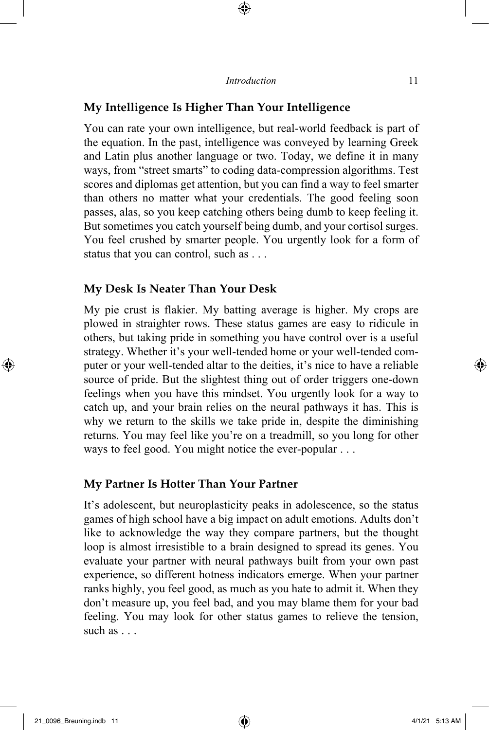⊕

#### **My Intelligence Is Higher Than Your Intelligence**

You can rate your own intelligence, but real-world feedback is part of the equation. In the past, intelligence was conveyed by learning Greek and Latin plus another language or two. Today, we define it in many ways, from "street smarts" to coding data-compression algorithms. Test scores and diplomas get attention, but you can find a way to feel smarter than others no matter what your credentials. The good feeling soon passes, alas, so you keep catching others being dumb to keep feeling it. But sometimes you catch yourself being dumb, and your cortisol surges. You feel crushed by smarter people. You urgently look for a form of status that you can control, such as . . .

#### **My Desk Is Neater Than Your Desk**

My pie crust is flakier. My batting average is higher. My crops are plowed in straighter rows. These status games are easy to ridicule in others, but taking pride in something you have control over is a useful strategy. Whether it's your well-tended home or your well-tended computer or your well-tended altar to the deities, it's nice to have a reliable source of pride. But the slightest thing out of order triggers one-down feelings when you have this mindset. You urgently look for a way to catch up, and your brain relies on the neural pathways it has. This is why we return to the skills we take pride in, despite the diminishing returns. You may feel like you're on a treadmill, so you long for other ways to feel good. You might notice the ever-popular . . .

#### **My Partner Is Hotter Than Your Partner**

It's adolescent, but neuroplasticity peaks in adolescence, so the status games of high school have a big impact on adult emotions. Adults don't like to acknowledge the way they compare partners, but the thought loop is almost irresistible to a brain designed to spread its genes. You evaluate your partner with neural pathways built from your own past experience, so different hotness indicators emerge. When your partner ranks highly, you feel good, as much as you hate to admit it. When they don't measure up, you feel bad, and you may blame them for your bad feeling. You may look for other status games to relieve the tension, such as . . .

⊕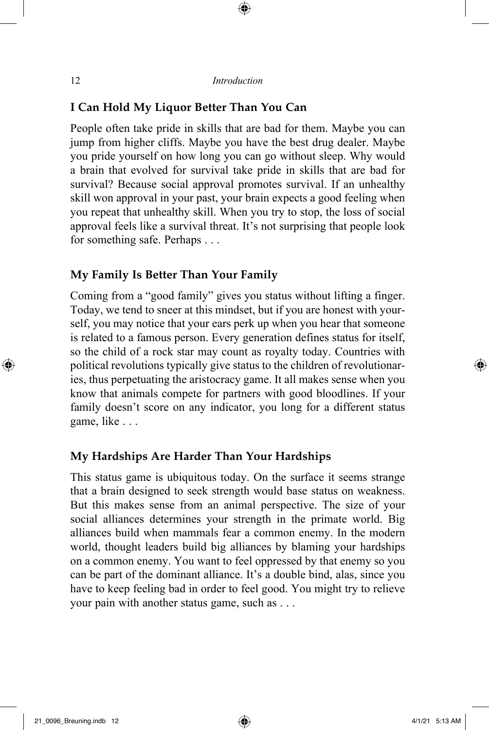⊕

#### **I Can Hold My Liquor Better Than You Can**

People often take pride in skills that are bad for them. Maybe you can jump from higher cliffs. Maybe you have the best drug dealer. Maybe you pride yourself on how long you can go without sleep. Why would a brain that evolved for survival take pride in skills that are bad for survival? Because social approval promotes survival. If an unhealthy skill won approval in your past, your brain expects a good feeling when you repeat that unhealthy skill. When you try to stop, the loss of social approval feels like a survival threat. It's not surprising that people look for something safe. Perhaps . . .

#### **My Family Is Better Than Your Family**

Coming from a "good family" gives you status without lifting a finger. Today, we tend to sneer at this mindset, but if you are honest with yourself, you may notice that your ears perk up when you hear that someone is related to a famous person. Every generation defines status for itself, so the child of a rock star may count as royalty today. Countries with political revolutions typically give status to the children of revolutionaries, thus perpetuating the aristocracy game. It all makes sense when you know that animals compete for partners with good bloodlines. If your family doesn't score on any indicator, you long for a different status game, like . . .

#### **My Hardships Are Harder Than Your Hardships**

This status game is ubiquitous today. On the surface it seems strange that a brain designed to seek strength would base status on weakness. But this makes sense from an animal perspective. The size of your social alliances determines your strength in the primate world. Big alliances build when mammals fear a common enemy. In the modern world, thought leaders build big alliances by blaming your hardships on a common enemy. You want to feel oppressed by that enemy so you can be part of the dominant alliance. It's a double bind, alas, since you have to keep feeling bad in order to feel good. You might try to relieve your pain with another status game, such as . . .

⊕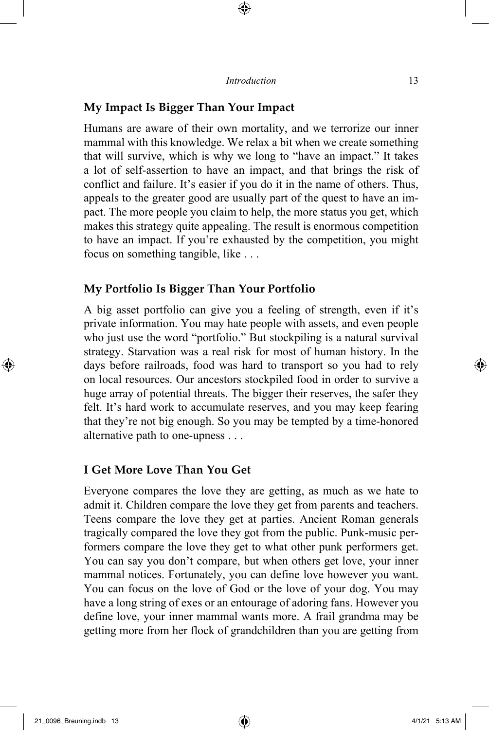⊕

#### **My Impact Is Bigger Than Your Impact**

Humans are aware of their own mortality, and we terrorize our inner mammal with this knowledge. We relax a bit when we create something that will survive, which is why we long to "have an impact." It takes a lot of self-assertion to have an impact, and that brings the risk of conflict and failure. It's easier if you do it in the name of others. Thus, appeals to the greater good are usually part of the quest to have an impact. The more people you claim to help, the more status you get, which makes this strategy quite appealing. The result is enormous competition to have an impact. If you're exhausted by the competition, you might focus on something tangible, like . . .

#### **My Portfolio Is Bigger Than Your Portfolio**

A big asset portfolio can give you a feeling of strength, even if it's private information. You may hate people with assets, and even people who just use the word "portfolio." But stockpiling is a natural survival strategy. Starvation was a real risk for most of human history. In the days before railroads, food was hard to transport so you had to rely on local resources. Our ancestors stockpiled food in order to survive a huge array of potential threats. The bigger their reserves, the safer they felt. It's hard work to accumulate reserves, and you may keep fearing that they're not big enough. So you may be tempted by a time-honored alternative path to one-upness . . .

#### **I Get More Love Than You Get**

Everyone compares the love they are getting, as much as we hate to admit it. Children compare the love they get from parents and teachers. Teens compare the love they get at parties. Ancient Roman generals tragically compared the love they got from the public. Punk-music performers compare the love they get to what other punk performers get. You can say you don't compare, but when others get love, your inner mammal notices. Fortunately, you can define love however you want. You can focus on the love of God or the love of your dog. You may have a long string of exes or an entourage of adoring fans. However you define love, your inner mammal wants more. A frail grandma may be getting more from her flock of grandchildren than you are getting from

⊕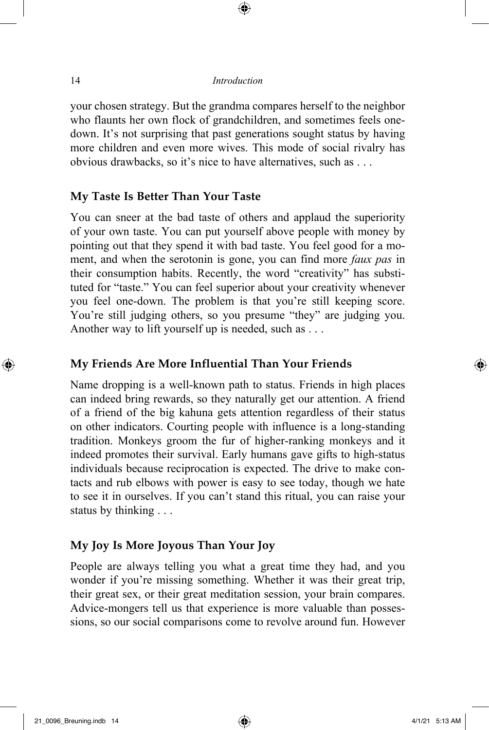⊕

your chosen strategy. But the grandma compares herself to the neighbor who flaunts her own flock of grandchildren, and sometimes feels onedown. It's not surprising that past generations sought status by having more children and even more wives. This mode of social rivalry has obvious drawbacks, so it's nice to have alternatives, such as . . .

#### **My Taste Is Better Than Your Taste**

You can sneer at the bad taste of others and applaud the superiority of your own taste. You can put yourself above people with money by pointing out that they spend it with bad taste. You feel good for a moment, and when the serotonin is gone, you can find more *faux pas* in their consumption habits. Recently, the word "creativity" has substituted for "taste." You can feel superior about your creativity whenever you feel one-down. The problem is that you're still keeping score. You're still judging others, so you presume "they" are judging you. Another way to lift yourself up is needed, such as ...

#### **My Friends Are More Influential Than Your Friends**

Name dropping is a well-known path to status. Friends in high places can indeed bring rewards, so they naturally get our attention. A friend of a friend of the big kahuna gets attention regardless of their status on other indicators. Courting people with influence is a long-standing tradition. Monkeys groom the fur of higher-ranking monkeys and it indeed promotes their survival. Early humans gave gifts to high-status individuals because reciprocation is expected. The drive to make contacts and rub elbows with power is easy to see today, though we hate to see it in ourselves. If you can't stand this ritual, you can raise your status by thinking . . .

#### **My Joy Is More Joyous Than Your Joy**

People are always telling you what a great time they had, and you wonder if you're missing something. Whether it was their great trip, their great sex, or their great meditation session, your brain compares. Advice-mongers tell us that experience is more valuable than possessions, so our social comparisons come to revolve around fun. However ⊕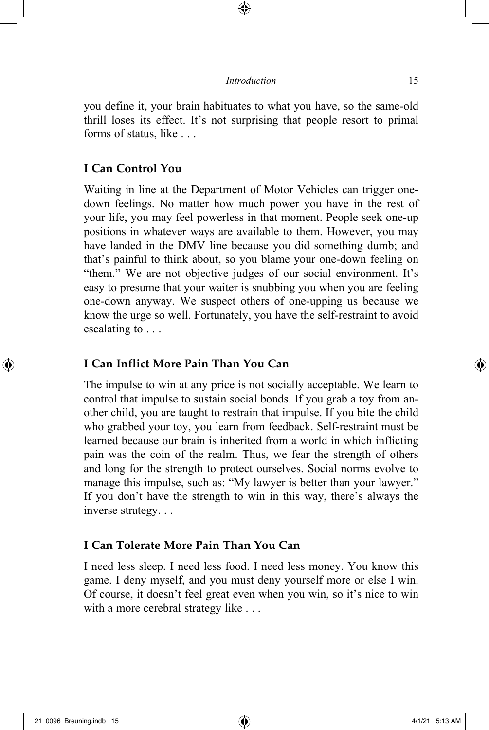⊕

you define it, your brain habituates to what you have, so the same-old thrill loses its effect. It's not surprising that people resort to primal forms of status, like . . .

#### **I Can Control You**

Waiting in line at the Department of Motor Vehicles can trigger onedown feelings. No matter how much power you have in the rest of your life, you may feel powerless in that moment. People seek one-up positions in whatever ways are available to them. However, you may have landed in the DMV line because you did something dumb; and that's painful to think about, so you blame your one-down feeling on "them." We are not objective judges of our social environment. It's easy to presume that your waiter is snubbing you when you are feeling one-down anyway. We suspect others of one-upping us because we know the urge so well. Fortunately, you have the self-restraint to avoid escalating to . . .

#### **I Can Inflict More Pain Than You Can**

The impulse to win at any price is not socially acceptable. We learn to control that impulse to sustain social bonds. If you grab a toy from another child, you are taught to restrain that impulse. If you bite the child who grabbed your toy, you learn from feedback. Self-restraint must be learned because our brain is inherited from a world in which inflicting pain was the coin of the realm. Thus, we fear the strength of others and long for the strength to protect ourselves. Social norms evolve to manage this impulse, such as: "My lawyer is better than your lawyer." If you don't have the strength to win in this way, there's always the inverse strategy. . .

#### **I Can Tolerate More Pain Than You Can**

I need less sleep. I need less food. I need less money. You know this game. I deny myself, and you must deny yourself more or else I win. Of course, it doesn't feel great even when you win, so it's nice to win with a more cerebral strategy like ...

⊕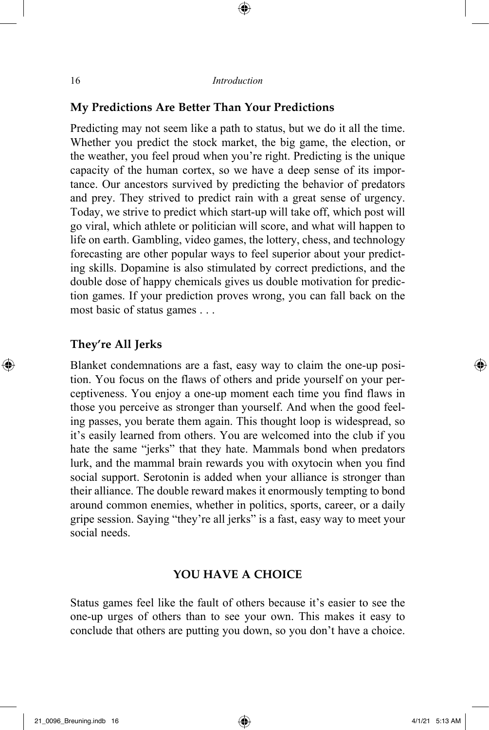⊕

#### **My Predictions Are Better Than Your Predictions**

Predicting may not seem like a path to status, but we do it all the time. Whether you predict the stock market, the big game, the election, or the weather, you feel proud when you're right. Predicting is the unique capacity of the human cortex, so we have a deep sense of its importance. Our ancestors survived by predicting the behavior of predators and prey. They strived to predict rain with a great sense of urgency. Today, we strive to predict which start-up will take off, which post will go viral, which athlete or politician will score, and what will happen to life on earth. Gambling, video games, the lottery, chess, and technology forecasting are other popular ways to feel superior about your predicting skills. Dopamine is also stimulated by correct predictions, and the double dose of happy chemicals gives us double motivation for prediction games. If your prediction proves wrong, you can fall back on the most basic of status games . . .

#### **They're All Jerks**

⊕

Blanket condemnations are a fast, easy way to claim the one-up position. You focus on the flaws of others and pride yourself on your perceptiveness. You enjoy a one-up moment each time you find flaws in those you perceive as stronger than yourself. And when the good feeling passes, you berate them again. This thought loop is widespread, so it's easily learned from others. You are welcomed into the club if you hate the same "jerks" that they hate. Mammals bond when predators lurk, and the mammal brain rewards you with oxytocin when you find social support. Serotonin is added when your alliance is stronger than their alliance. The double reward makes it enormously tempting to bond around common enemies, whether in politics, sports, career, or a daily gripe session. Saying "they're all jerks" is a fast, easy way to meet your social needs.

#### **YOU HAVE A CHOICE**

Status games feel like the fault of others because it's easier to see the one-up urges of others than to see your own. This makes it easy to conclude that others are putting you down, so you don't have a choice.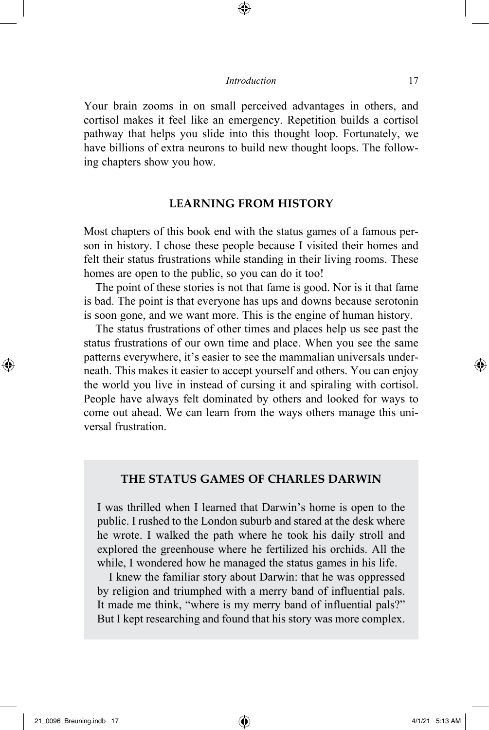⊕

Your brain zooms in on small perceived advantages in others, and cortisol makes it feel like an emergency. Repetition builds a cortisol pathway that helps you slide into this thought loop. Fortunately, we have billions of extra neurons to build new thought loops. The following chapters show you how.

#### **LEARNING FROM HISTORY**

Most chapters of this book end with the status games of a famous person in history. I chose these people because I visited their homes and felt their status frustrations while standing in their living rooms. These homes are open to the public, so you can do it too!

The point of these stories is not that fame is good. Nor is it that fame is bad. The point is that everyone has ups and downs because serotonin is soon gone, and we want more. This is the engine of human history.

The status frustrations of other times and places help us see past the status frustrations of our own time and place. When you see the same patterns everywhere, it's easier to see the mammalian universals underneath. This makes it easier to accept yourself and others. You can enjoy the world you live in instead of cursing it and spiraling with cortisol. People have always felt dominated by others and looked for ways to come out ahead. We can learn from the ways others manage this universal frustration.

#### **THE STATUS GAMES OF CHARLES DARWIN**

I was thrilled when I learned that Darwin's home is open to the public. I rushed to the London suburb and stared at the desk where he wrote. I walked the path where he took his daily stroll and explored the greenhouse where he fertilized his orchids. All the while, I wondered how he managed the status games in his life.

I knew the familiar story about Darwin: that he was oppressed by religion and triumphed with a merry band of influential pals. It made me think, "where is my merry band of influential pals?" But I kept researching and found that his story was more complex.

⊕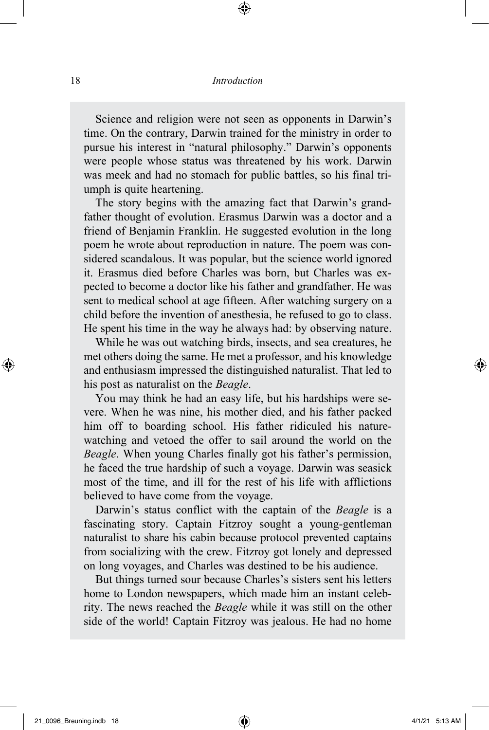⊕

Science and religion were not seen as opponents in Darwin's time. On the contrary, Darwin trained for the ministry in order to pursue his interest in "natural philosophy." Darwin's opponents were people whose status was threatened by his work. Darwin was meek and had no stomach for public battles, so his final triumph is quite heartening.

The story begins with the amazing fact that Darwin's grandfather thought of evolution. Erasmus Darwin was a doctor and a friend of Benjamin Franklin. He suggested evolution in the long poem he wrote about reproduction in nature. The poem was considered scandalous. It was popular, but the science world ignored it. Erasmus died before Charles was born, but Charles was expected to become a doctor like his father and grandfather. He was sent to medical school at age fifteen. After watching surgery on a child before the invention of anesthesia, he refused to go to class. He spent his time in the way he always had: by observing nature.

While he was out watching birds, insects, and sea creatures, he met others doing the same. He met a professor, and his knowledge and enthusiasm impressed the distinguished naturalist. That led to his post as naturalist on the *Beagle*.

You may think he had an easy life, but his hardships were severe. When he was nine, his mother died, and his father packed him off to boarding school. His father ridiculed his naturewatching and vetoed the offer to sail around the world on the *Beagle*. When young Charles finally got his father's permission, he faced the true hardship of such a voyage. Darwin was seasick most of the time, and ill for the rest of his life with afflictions believed to have come from the voyage.

Darwin's status conflict with the captain of the *Beagle* is a fascinating story. Captain Fitzroy sought a young-gentleman naturalist to share his cabin because protocol prevented captains from socializing with the crew. Fitzroy got lonely and depressed on long voyages, and Charles was destined to be his audience.

But things turned sour because Charles's sisters sent his letters home to London newspapers, which made him an instant celebrity. The news reached the *Beagle* while it was still on the other side of the world! Captain Fitzroy was jealous. He had no home

 $\bigoplus$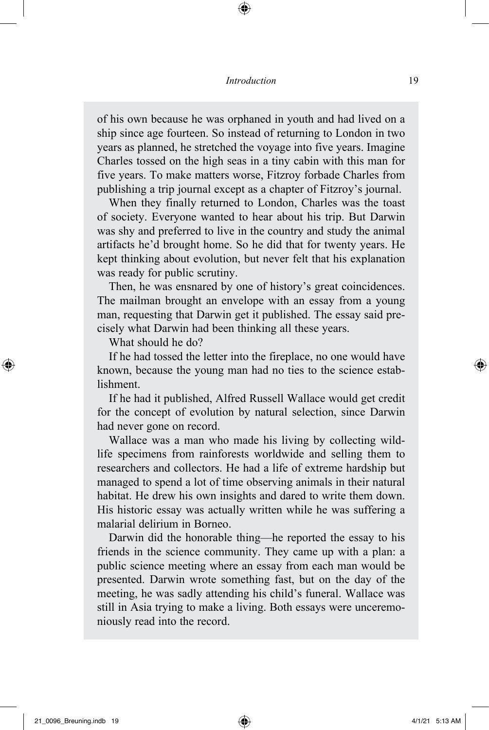⊕

of his own because he was orphaned in youth and had lived on a ship since age fourteen. So instead of returning to London in two years as planned, he stretched the voyage into five years. Imagine Charles tossed on the high seas in a tiny cabin with this man for five years. To make matters worse, Fitzroy forbade Charles from publishing a trip journal except as a chapter of Fitzroy's journal.

When they finally returned to London, Charles was the toast of society. Everyone wanted to hear about his trip. But Darwin was shy and preferred to live in the country and study the animal artifacts he'd brought home. So he did that for twenty years. He kept thinking about evolution, but never felt that his explanation was ready for public scrutiny.

Then, he was ensnared by one of history's great coincidences. The mailman brought an envelope with an essay from a young man, requesting that Darwin get it published. The essay said precisely what Darwin had been thinking all these years.

What should he do?

If he had tossed the letter into the fireplace, no one would have known, because the young man had no ties to the science establishment.

If he had it published, Alfred Russell Wallace would get credit for the concept of evolution by natural selection, since Darwin had never gone on record.

Wallace was a man who made his living by collecting wildlife specimens from rainforests worldwide and selling them to researchers and collectors. He had a life of extreme hardship but managed to spend a lot of time observing animals in their natural habitat. He drew his own insights and dared to write them down. His historic essay was actually written while he was suffering a malarial delirium in Borneo.

Darwin did the honorable thing—he reported the essay to his friends in the science community. They came up with a plan: a public science meeting where an essay from each man would be presented. Darwin wrote something fast, but on the day of the meeting, he was sadly attending his child's funeral. Wallace was still in Asia trying to make a living. Both essays were unceremoniously read into the record.

⊕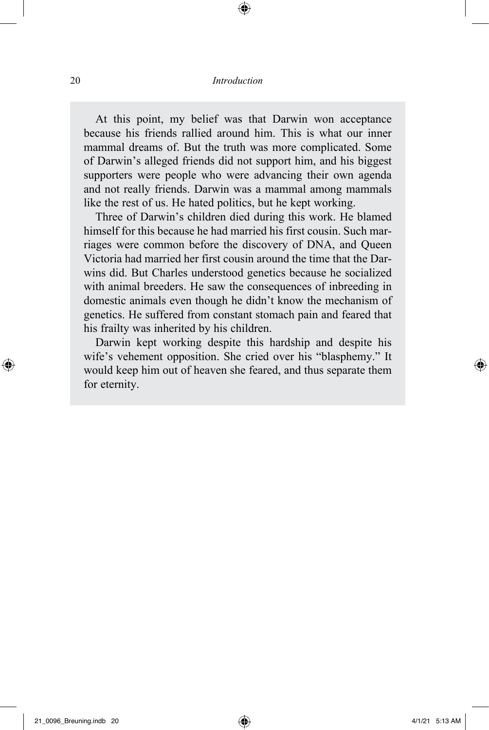$\bigoplus$ 

At this point, my belief was that Darwin won acceptance because his friends rallied around him. This is what our inner mammal dreams of. But the truth was more complicated. Some of Darwin's alleged friends did not support him, and his biggest supporters were people who were advancing their own agenda and not really friends. Darwin was a mammal among mammals like the rest of us. He hated politics, but he kept working.

Three of Darwin's children died during this work. He blamed himself for this because he had married his first cousin. Such marriages were common before the discovery of DNA, and Queen Victoria had married her first cousin around the time that the Darwins did. But Charles understood genetics because he socialized with animal breeders. He saw the consequences of inbreeding in domestic animals even though he didn't know the mechanism of genetics. He suffered from constant stomach pain and feared that his frailty was inherited by his children.

Darwin kept working despite this hardship and despite his wife's vehement opposition. She cried over his "blasphemy." It would keep him out of heaven she feared, and thus separate them for eternity.

⊕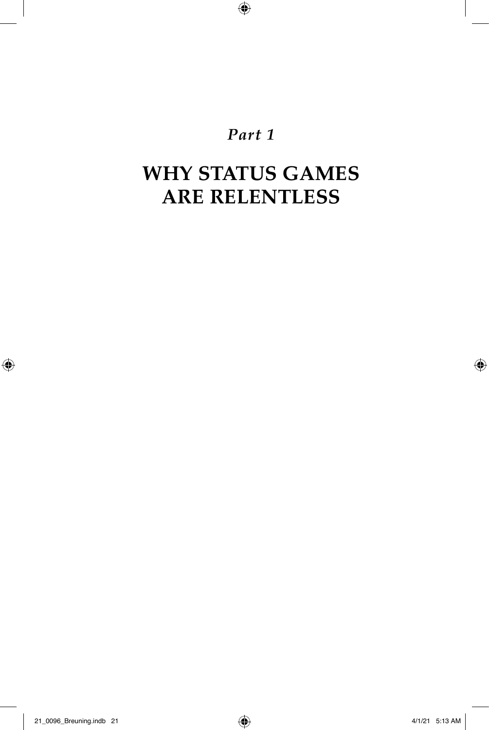### *Part 1*

 $\bigoplus$ 

# **WHY STATUS GAMES ARE RELENTLESS**

 $\bigoplus$